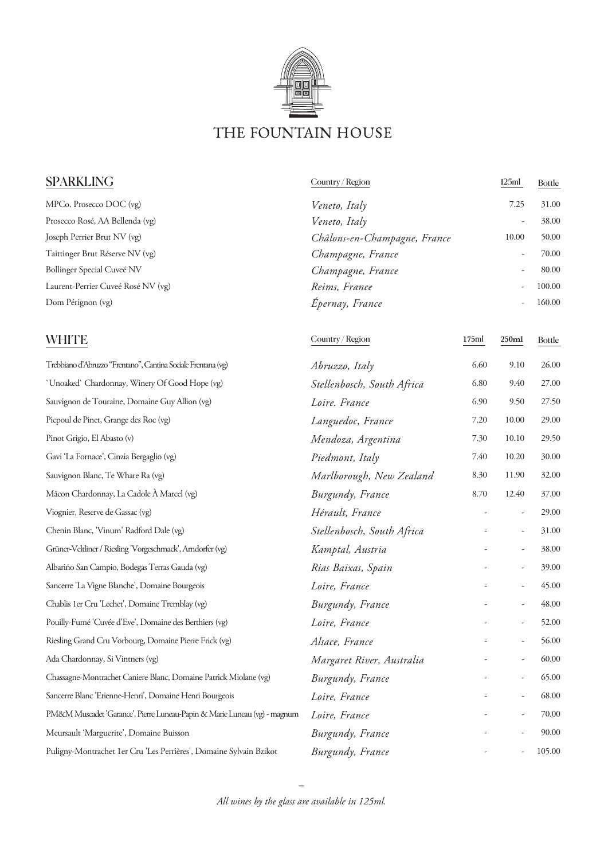

| <b>SPARKLING</b>                   | Country/Region               | 125ml | <b>Bottle</b> |
|------------------------------------|------------------------------|-------|---------------|
| MPCo. Prosecco DOC (vg)            | Veneto, Italy                | 7.25  | 31.00         |
| Prosecco Rosé, AA Bellenda (vg)    | Veneto, Italy                | ۰     | 38.00         |
| Joseph Perrier Brut NV (vg)        | Châlons-en-Champagne, France | 10.00 | 50.00         |
| Taittinger Brut Réserve NV (vg)    | Champagne, France            |       | 70.00         |
| Bollinger Special Cuveé NV         | Champagne, France            |       | 80.00         |
| Laurent-Perrier Cuveé Rosé NV (vg) | Reims, France                | ۰     | 100.00        |
| Dom Pérignon (vg)                  | Epernay, France              | ۰     | 160.00        |

Country / Region **175**ml **250ml** Bottle

## **WHITE**

| Trebbiano d'Abruzzo "Frentano", Cantina Sociale Frentana (vg)             | Abruzzo, Italy             | 6.60 | 9.10                     | 26.00  |
|---------------------------------------------------------------------------|----------------------------|------|--------------------------|--------|
| 'Unoaked' Chardonnay, Winery Of Good Hope (vg)                            | Stellenbosch, South Africa | 6.80 | 9.40                     | 27.00  |
| Sauvignon de Touraine, Domaine Guy Allion (vg)                            | Loire. France              | 6.90 | 9.50                     | 27.50  |
| Picpoul de Pinet, Grange des Roc (vg)                                     | Languedoc, France          | 7.20 | 10.00                    | 29.00  |
| Pinot Grigio, El Abasto (v)                                               | Mendoza, Argentina         | 7.30 | 10.10                    | 29.50  |
| Gavi 'La Fornace', Cinzia Bergaglio (vg)                                  | Piedmont, Italy            | 7.40 | 10.20                    | 30.00  |
| Sauvignon Blanc, Te Whare Ra (vg)                                         | Marlborough, New Zealand   | 8.30 | 11.90                    | 32.00  |
| Mâcon Chardonnay, La Cadole À Marcel (vg)                                 | Burgundy, France           | 8.70 | 12.40                    | 37.00  |
| Viognier, Reserve de Gassac (vg)                                          | Hérault, France            |      | ÷,                       | 29.00  |
| Chenin Blanc, 'Vinum' Radford Dale (vg)                                   | Stellenbosch, South Africa |      | $\overline{\phantom{m}}$ | 31.00  |
| Grüner-Veltliner / Riesling 'Vorgeschmack', Arndorfer (vg)                | Kamptal, Austria           |      | ÷,                       | 38.00  |
| Albariño San Campio, Bodegas Terras Gauda (vg)                            | Rias Baixas, Spain         |      |                          | 39.00  |
| Sancerre 'La Vigne Blanche', Domaine Bourgeois                            | Loire, France              |      |                          | 45.00  |
| Chablis 1er Cru 'Lechet', Domaine Tremblay (vg)                           | Burgundy, France           |      | $\frac{1}{2}$            | 48.00  |
| Pouilly-Fumé 'Cuvée d'Eve', Domaine des Berthiers (vg)                    | Loire, France              |      |                          | 52.00  |
| Riesling Grand Cru Vorbourg, Domaine Pierre Frick (vg)                    | Alsace, France             |      |                          | 56.00  |
| Ada Chardonnay, Si Vintners (vg)                                          | Margaret River, Australia  |      | $\overline{\phantom{m}}$ | 60.00  |
| Chassagne-Montrachet Caniere Blanc, Domaine Patrick Miolane (vg)          | Burgundy, France           |      |                          | 65.00  |
| Sancerre Blanc 'Etienne-Henri', Domaine Henri Bourgeois                   | Loire, France              |      | $\overline{\phantom{m}}$ | 68.00  |
| PM&M Muscadet 'Garance', Pierre Luneau-Papin & Marie Luneau (vg) - magnum | Loire, France              |      |                          | 70.00  |
| Meursault 'Marguerite', Domaine Buisson                                   | Burgundy, France           |      |                          | 90.00  |
| Puligny-Montrachet 1er Cru 'Les Perrières', Domaine Sylvain Bzikot        | Burgundy, France           |      |                          | 105.00 |